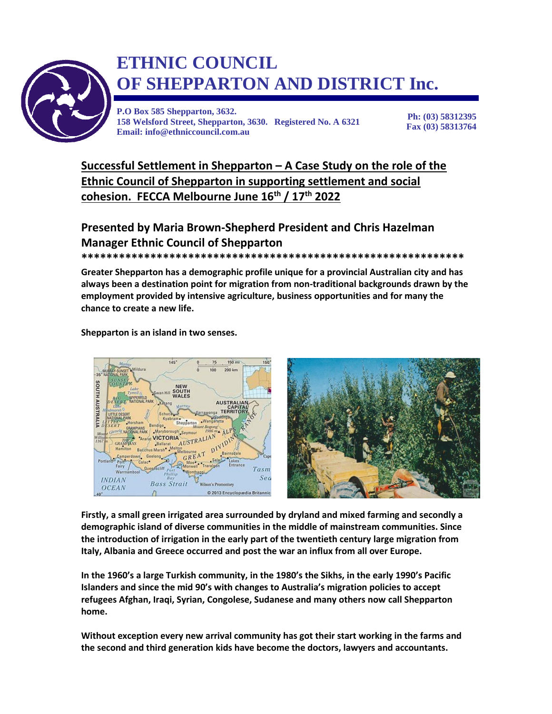

## **OF SHEPPARTON AND DISTRICT Inc. ETHNIC COUNCIL**

**P.O Box 585 Shepparton, 3632. 158 Welsford Street, Shepparton, 3630. Registered No. A 6321 Email: info@ethniccouncil.com.au**

**Ph: (03) 58312395 Fax (03) 58313764**

**Successful Settlement in Shepparton – A Case Study on the role of the Ethnic Council of Shepparton in supporting settlement and social cohesion. FECCA Melbourne June 16th / 17th 2022**

## **Presented by Maria Brown-Shepherd President and Chris Hazelman Manager Ethnic Council of Shepparton**

**\*\*\*\*\*\*\*\*\*\*\*\*\*\*\*\*\*\*\*\*\*\*\*\*\*\*\*\*\*\*\*\*\*\*\*\*\*\*\*\*\*\*\*\*\*\*\*\*\*\*\*\*\*\*\*\*\*\*\*\*\***

**Greater Shepparton has a demographic profile unique for a provincial Australian city and has always been a destination point for migration from non-traditional backgrounds drawn by the employment provided by intensive agriculture, business opportunities and for many the chance to create a new life.**

## **Shepparton is an island in two senses.**



**Firstly, a small green irrigated area surrounded by dryland and mixed farming and secondly a demographic island of diverse communities in the middle of mainstream communities. Since the introduction of irrigation in the early part of the twentieth century large migration from Italy, Albania and Greece occurred and post the war an influx from all over Europe.** 

**In the 1960's a large Turkish community, in the 1980's the Sikhs, in the early 1990's Pacific Islanders and since the mid 90's with changes to Australia's migration policies to accept refugees Afghan, Iraqi, Syrian, Congolese, Sudanese and many others now call Shepparton home.** 

**Without exception every new arrival community has got their start working in the farms and the second and third generation kids have become the doctors, lawyers and accountants.**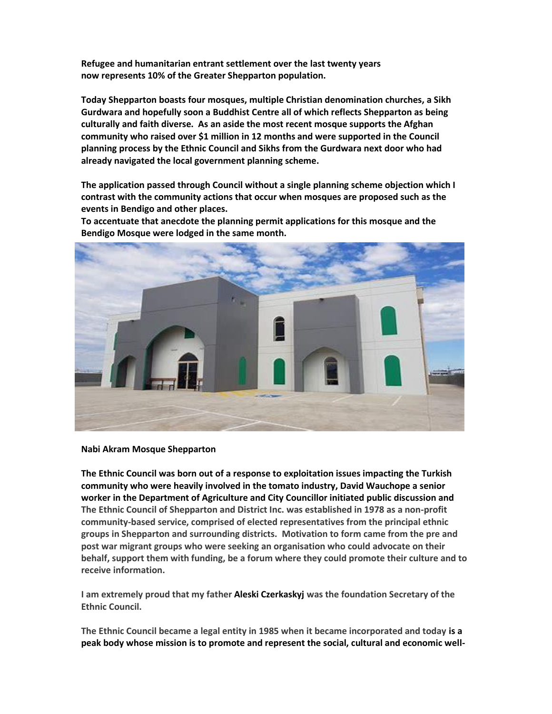**Refugee and humanitarian entrant settlement over the last twenty years now represents 10% of the Greater Shepparton population.**

**Today Shepparton boasts four mosques, multiple Christian denomination churches, a Sikh Gurdwara and hopefully soon a Buddhist Centre all of which reflects Shepparton as being culturally and faith diverse. As an aside the most recent mosque supports the Afghan community who raised over \$1 million in 12 months and were supported in the Council planning process by the Ethnic Council and Sikhs from the Gurdwara next door who had already navigated the local government planning scheme.** 

**The application passed through Council without a single planning scheme objection which I contrast with the community actions that occur when mosques are proposed such as the events in Bendigo and other places.** 

**To accentuate that anecdote the planning permit applications for this mosque and the Bendigo Mosque were lodged in the same month.** 



**Nabi Akram Mosque Shepparton**

**The Ethnic Council was born out of a response to exploitation issues impacting the Turkish community who were heavily involved in the tomato industry, David Wauchope a senior worker in the Department of Agriculture and City Councillor initiated public discussion and The Ethnic Council of Shepparton and District Inc. was established in 1978 as a non-profit community-based service, comprised of elected representatives from the principal ethnic groups in Shepparton and surrounding districts. Motivation to form came from the pre and post war migrant groups who were seeking an organisation who could advocate on their behalf, support them with funding, be a forum where they could promote their culture and to receive information.** 

**I am extremely proud that my father Aleski Czerkaskyj was the foundation Secretary of the Ethnic Council.**

**The Ethnic Council became a legal entity in 1985 when it became incorporated and today is a peak body whose mission is to promote and represent the social, cultural and economic well-**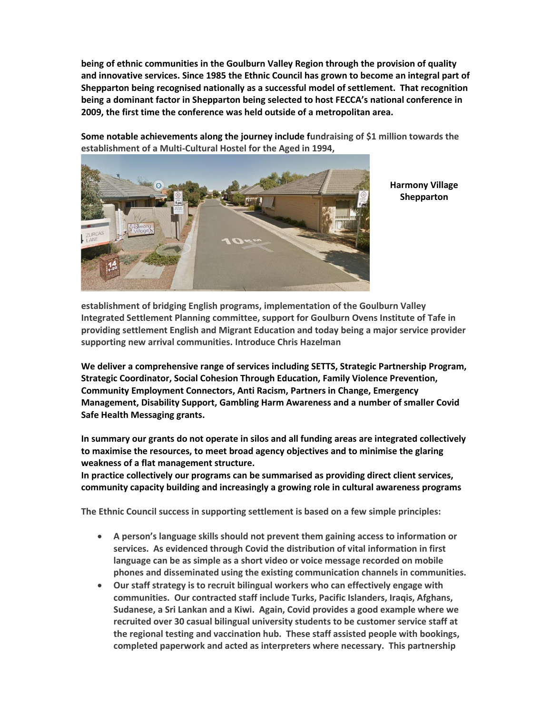**being of ethnic communities in the Goulburn Valley Region through the provision of quality and innovative services. Since 1985 the Ethnic Council has grown to become an integral part of Shepparton being recognised nationally as a successful model of settlement. That recognition being a dominant factor in Shepparton being selected to host FECCA's national conference in 2009, the first time the conference was held outside of a metropolitan area.**

**Some notable achievements along the journey include fundraising of \$1 million towards the establishment of a Multi-Cultural Hostel for the Aged in 1994,** 



**Harmony Village Shepparton**

**establishment of bridging English programs, implementation of the Goulburn Valley Integrated Settlement Planning committee, support for Goulburn Ovens Institute of Tafe in providing settlement English and Migrant Education and today being a major service provider supporting new arrival communities. Introduce Chris Hazelman**

**We deliver a comprehensive range of services including SETTS, Strategic Partnership Program, Strategic Coordinator, Social Cohesion Through Education, Family Violence Prevention, Community Employment Connectors, Anti Racism, Partners in Change, Emergency Management, Disability Support, Gambling Harm Awareness and a number of smaller Covid Safe Health Messaging grants.**

**In summary our grants do not operate in silos and all funding areas are integrated collectively to maximise the resources, to meet broad agency objectives and to minimise the glaring weakness of a flat management structure.**

**In practice collectively our programs can be summarised as providing direct client services, community capacity building and increasingly a growing role in cultural awareness programs** 

**The Ethnic Council success in supporting settlement is based on a few simple principles:**

- **A person's language skills should not prevent them gaining access to information or services. As evidenced through Covid the distribution of vital information in first language can be as simple as a short video or voice message recorded on mobile phones and disseminated using the existing communication channels in communities.**
- **Our staff strategy is to recruit bilingual workers who can effectively engage with communities. Our contracted staff include Turks, Pacific Islanders, Iraqis, Afghans, Sudanese, a Sri Lankan and a Kiwi. Again, Covid provides a good example where we recruited over 30 casual bilingual university students to be customer service staff at the regional testing and vaccination hub. These staff assisted people with bookings, completed paperwork and acted as interpreters where necessary. This partnership**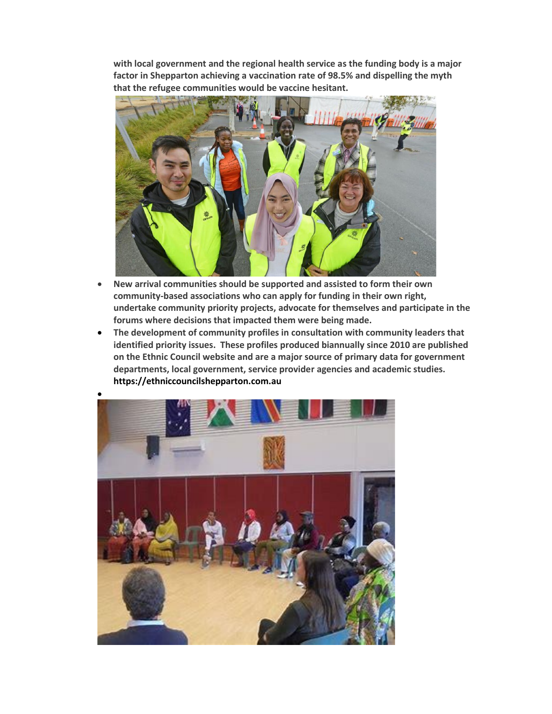**with local government and the regional health service as the funding body is a major factor in Shepparton achieving a vaccination rate of 98.5% and dispelling the myth that the refugee communities would be vaccine hesitant.**



- **New arrival communities should be supported and assisted to form their own community-based associations who can apply for funding in their own right, undertake community priority projects, advocate for themselves and participate in the forums where decisions that impacted them were being made.**
- **The development of community profiles in consultation with community leaders that identified priority issues. These profiles produced biannually since 2010 are published on the Ethnic Council website and are a major source of primary data for government departments, local government, service provider agencies and academic studies. [https://ethniccouncilshepparton.com.au](https://ethniccouncilshepparton.com.au/)**